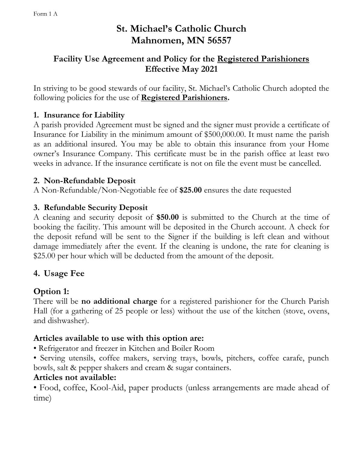# **St. Michael's Catholic Church Mahnomen, MN 56557**

### **Facility Use Agreement and Policy for the Registered Parishioners Effective May 2021**

In striving to be good stewards of our facility, St. Michael's Catholic Church adopted the following policies for the use of **Registered Parishioners.**

### **1. Insurance for Liability**

A parish provided Agreement must be signed and the signer must provide a certificate of Insurance for Liability in the minimum amount of \$500,000.00. It must name the parish as an additional insured. You may be able to obtain this insurance from your Home owner's Insurance Company. This certificate must be in the parish office at least two weeks in advance. If the insurance certificate is not on file the event must be cancelled.

#### **2. Non-Refundable Deposit**

A Non-Refundable/Non-Negotiable fee of **\$25.00** ensures the date requested

#### **3. Refundable Security Deposit**

A cleaning and security deposit of **\$50.00** is submitted to the Church at the time of booking the facility. This amount will be deposited in the Church account. A check for the deposit refund will be sent to the Signer if the building is left clean and without damage immediately after the event. If the cleaning is undone, the rate for cleaning is \$25.00 per hour which will be deducted from the amount of the deposit.

### **4. Usage Fee**

### **Option 1:**

There will be **no additional charge** for a registered parishioner for the Church Parish Hall (for a gathering of 25 people or less) without the use of the kitchen (stove, ovens, and dishwasher).

### **Articles available to use with this option are:**

- Refrigerator and freezer in Kitchen and Boiler Room
- Serving utensils, coffee makers, serving trays, bowls, pitchers, coffee carafe, punch bowls, salt & pepper shakers and cream & sugar containers.

### **Articles not available:**

• Food, coffee, Kool-Aid, paper products (unless arrangements are made ahead of time)